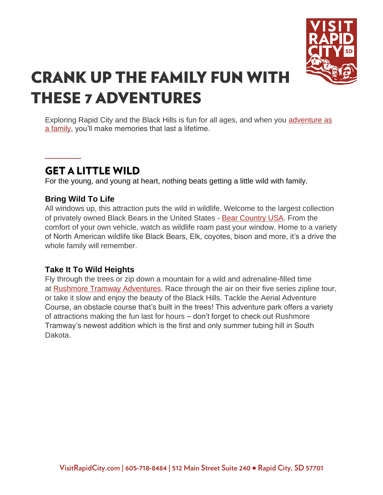

# **CRANK UP THE FAMILY FUN WITH THESE 7 ADVENTURES**

Exploring Rapid City and the Black Hills is fun for all ages, and when you adventure as [a family,](https://www.visitrapidcity.com/travel-basics/traveling-kids) you'll make memories that last a lifetime.

### **GET A LITTLE WILD**

For the young, and young at heart, nothing beats getting a little wild with family.

#### **Bring Wild To Life**

**\_\_\_\_**

All windows up, this attraction puts the wild in wildlife. Welcome to the largest collection of privately owned Black Bears in the United States - [Bear Country USA.](https://www.visitrapidcity.com/things-to-do/attractions/bear-country-usa) From the comfort of your own vehicle, watch as wildlife roam past your window. Home to a variety of North American wildlife like Black Bears, Elk, coyotes, bison and more, it's a drive the whole family will remember.

#### **Take It To Wild Heights**

Fly through the trees or zip down a mountain for a wild and adrenaline-filled time at [Rushmore Tramway Adventures.](https://www.visitrapidcity.com/things-to-do/attractions/rushmore-tramway-adventures) Race through the air on their five series zipline tour, or take it slow and enjoy the beauty of the Black Hills. Tackle the Aerial Adventure Course, an obstacle course that's built in the trees! This adventure park offers a variety of attractions making the fun last for hours – don't forget to check out Rushmore Tramway's newest addition which is the first and only summer tubing hill in South Dakota.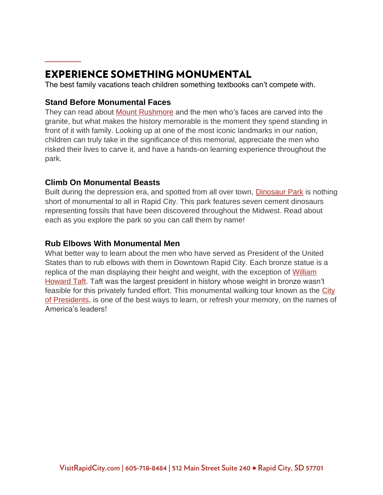## **EXPERIENCE SOMETHING MONUMENTAL**

The best family vacations teach children something textbooks can't compete with.

#### **Stand Before Monumental Faces**

**\_\_\_\_**

They can read about [Mount Rushmore](https://www.visitrapidcity.com/parks/mount-rushmore-national-memorial) and the men who's faces are carved into the granite, but what makes the history memorable is the moment they spend standing in front of it with family. Looking up at one of the most iconic landmarks in our nation, children can truly take in the significance of this memorial, appreciate the men who risked their lives to carve it, and have a hands-on learning experience throughout the park.

#### **Climb On Monumental Beasts**

Built during the depression era, and spotted from all over town, **[Dinosaur Park](https://www.visitrapidcity.com/things-to-do/attractions/dinosaur-park-gift-shop-visitors-center)** is nothing short of monumental to all in Rapid City. This park features seven cement dinosaurs representing fossils that have been discovered throughout the Midwest. Read about each as you explore the park so you can call them by name!

#### **Rub Elbows With Monumental Men**

What better way to learn about the men who have served as President of the United States than to rub elbows with them in Downtown Rapid City. Each bronze statue is a replica of the man displaying their height and weight, with the exception of [William](https://www.visitrapidcity.com/things-to-do/all-things/attractions/city-presidents/william-howard-taft)  [Howard Taft.](https://www.visitrapidcity.com/things-to-do/all-things/attractions/city-presidents/william-howard-taft) Taft was the largest president in history whose weight in bronze wasn't feasible for this privately funded effort. This monumental walking tour known as the City [of Presidents,](https://www.visitrapidcity.com/things-to-do/all-things/attractions/city-presidents) is one of the best ways to learn, or refresh your memory, on the names of America's leaders!